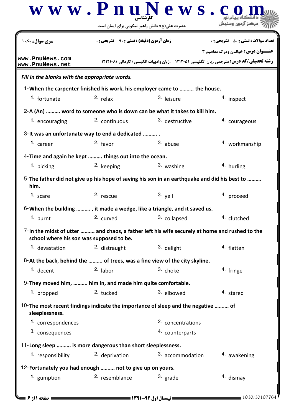|                                                             |                                                                                                    | $\bf w \ w \ w \ . \ P \ n \ u \ N \ e \ w \ s \ . \ c$                                         | مرکز آزمه:                                   |  |  |  |
|-------------------------------------------------------------|----------------------------------------------------------------------------------------------------|-------------------------------------------------------------------------------------------------|----------------------------------------------|--|--|--|
| <b>سری سوال :</b> یک ۱                                      | حضرت علی(ع): دانش راهبر نیکویی برای ایمان است<br><b>زمان آزمون (دقیقه) : تستی : ۹۰٪ تشریحی : 0</b> |                                                                                                 | <b>تعداد سوالات : تستی : 50 ٪ تشریحی : 0</b> |  |  |  |
| www.PnuNews.com<br>www.PnuNews.net                          |                                                                                                    | <b>رشته تحصیلی/کد درس:</b> مترجمی زبان انگلیسی ۱۲۱۲۰۵۱ - ،زبان وادبیات انگیسی (کاردانی )۱۲۱۲۱۰۸ | <b>عنـــوان درس:</b> خواندن ودرک مفاهیم ۳    |  |  |  |
| Fill in the blanks with the appropriate words.              |                                                                                                    |                                                                                                 |                                              |  |  |  |
|                                                             |                                                                                                    | 1-When the carpenter finished his work, his employer came to  the house.                        |                                              |  |  |  |
| 1. fortunate                                                | $2.$ relax                                                                                         | 3. leisure                                                                                      | 4. inspect                                   |  |  |  |
|                                                             |                                                                                                    | 2-A (An)  word to someone who is down can be what it takes to kill him.                         |                                              |  |  |  |
| 1. encouraging                                              | 2. continuous                                                                                      | 3. destructive                                                                                  | 4. courageous                                |  |  |  |
| 3- It was an unfortunate way to end a dedicated             |                                                                                                    |                                                                                                 |                                              |  |  |  |
| 1. career                                                   | $2.$ favor                                                                                         | 3. abuse                                                                                        | <sup>4.</sup> workmanship                    |  |  |  |
| 4-Time and again he kept  things out into the ocean.        |                                                                                                    |                                                                                                 |                                              |  |  |  |
| 1. picking                                                  | 2. keeping                                                                                         | 3. washing                                                                                      | 4. hurling                                   |  |  |  |
| him.                                                        |                                                                                                    | 5-The father did not give up his hope of saving his son in an earthquake and did his best to    |                                              |  |  |  |
| 1. scare                                                    | 2. rescue                                                                                          | 3. yell                                                                                         | 4. proceed                                   |  |  |  |
|                                                             | $6$ -When the building , it made a wedge, like a triangle, and it saved us.                        |                                                                                                 |                                              |  |  |  |
| 1. burnt                                                    | 2. curved                                                                                          | 3. collapsed                                                                                    | 4. clutched                                  |  |  |  |
| school where his son was supposed to be.                    |                                                                                                    | 7-In the midst of utter  and chaos, a father left his wife securely at home and rushed to the   |                                              |  |  |  |
| 1. devastation                                              | 2. distraught                                                                                      | 3. delight                                                                                      | 4. flatten                                   |  |  |  |
|                                                             |                                                                                                    | 8-At the back, behind the  of trees, was a fine view of the city skyline.                       |                                              |  |  |  |
| $1.$ decent                                                 | $2.$ labor                                                                                         | 3. choke                                                                                        | 4. fringe                                    |  |  |  |
| 9- They moved him,  him in, and made him quite comfortable. |                                                                                                    |                                                                                                 |                                              |  |  |  |
| 1. propped                                                  | 2. tucked                                                                                          | 3. elbowed                                                                                      | 4. stared                                    |  |  |  |
| sleeplessness.                                              |                                                                                                    | 10-The most recent findings indicate the importance of sleep and the negative  of               |                                              |  |  |  |
| 1. correspondences                                          |                                                                                                    | 2. concentrations                                                                               |                                              |  |  |  |
| 3. consequences                                             |                                                                                                    | 4. counterparts                                                                                 |                                              |  |  |  |
| 11-Long sleep  is more dangerous than short sleeplessness.  |                                                                                                    |                                                                                                 |                                              |  |  |  |
| 1. responsibility                                           | 2. deprivation                                                                                     | 3. accommodation                                                                                | 4. awakening                                 |  |  |  |
| 12-Fortunately you had enough  not to give up on yours.     |                                                                                                    |                                                                                                 |                                              |  |  |  |
| 1. gumption                                                 | 2. resemblance                                                                                     | $3.$ grade                                                                                      | 4. dismay                                    |  |  |  |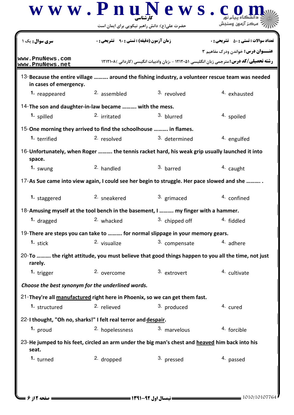|                                                                                                              | حضرت علی(ع): دانش راهبر نیکویی برای ایمان است      |                |                                                                                                                                              |
|--------------------------------------------------------------------------------------------------------------|----------------------------------------------------|----------------|----------------------------------------------------------------------------------------------------------------------------------------------|
| <b>سری سوال :</b> یک                                                                                         | <b>زمان آزمون (دقیقه) : تستی : 90 ٪ تشریحی : 0</b> |                | <b>تعداد سوالات : تستي : 50 ٪ تشريحي : 0</b>                                                                                                 |
| www.PnuNews.com<br>www.PnuNews.net                                                                           |                                                    |                | <b>عنـــوان درس:</b> خواندن ودرک مفاهیم ۳<br><b>رشته تحصیلی/کد درس:</b> مترجمی زبان انگلیسی ۱۲۱۲۰۵۱ - ،زبان وادبیات انگیسی (کاردانی )۱۲۱۲۱۰۸ |
| in cases of emergency.                                                                                       |                                                    |                | 13-Because the entire village  around the fishing industry, a volunteer rescue team was needed                                               |
| 1. reappeared                                                                                                | <sup>2.</sup> assembled                            | 3. revolved    | <sup>4</sup> exhausted                                                                                                                       |
| 14-The son and daughter-in-law became  with the mess.                                                        |                                                    |                |                                                                                                                                              |
| 1. spilled                                                                                                   | 2. irritated                                       | 3. blurred     | 4. spoiled                                                                                                                                   |
| 15-One morning they arrived to find the schoolhouse  in flames.                                              |                                                    |                |                                                                                                                                              |
| 1. terrified                                                                                                 | 2. resolved                                        | 3. determined  | 4. engulfed                                                                                                                                  |
| 16-Unfortunately, when Roger  the tennis racket hard, his weak grip usually launched it into<br>space.       |                                                    |                |                                                                                                                                              |
| 1. swung                                                                                                     | 2. handled                                         | 3. barred      | 4. caught                                                                                                                                    |
| 17-As Sue came into view again, I could see her begin to struggle. Her pace slowed and she                   |                                                    |                |                                                                                                                                              |
| 1. staggered                                                                                                 | <sup>2.</sup> sneakered                            | 3. grimaced    | 4. confined                                                                                                                                  |
| 18-Amusing myself at the tool bench in the basement, I  my finger with a hammer.                             |                                                    |                |                                                                                                                                              |
| 1. dragged                                                                                                   | 2. whacked                                         | 3. chipped off | <sup>4</sup> fiddled                                                                                                                         |
| 19-There are steps you can take to  for normal slippage in your memory gears.                                |                                                    |                |                                                                                                                                              |
| 1. stick                                                                                                     | 2. visualize                                       | 3. compensate  | 4. adhere                                                                                                                                    |
| 20-To  the right attitude, you must believe that good things happen to you all the time, not just<br>rarely. |                                                    |                |                                                                                                                                              |
| 1. trigger                                                                                                   | 2. overcome                                        | 3. extrovert   | 4. cultivate                                                                                                                                 |
| Choose the best synonym for the underlined words.                                                            |                                                    |                |                                                                                                                                              |
| 21-They're all manufactured right here in Phoenix, so we can get them fast.                                  |                                                    |                |                                                                                                                                              |
| 1. structured                                                                                                | 2. relieved                                        | 3. produced    | 4. cured                                                                                                                                     |
| 22-I thought, "Oh no, sharks!" I felt real terror and despair.                                               |                                                    |                |                                                                                                                                              |
| 1. proud                                                                                                     | 2. hopelessness                                    | 3. marvelous   | <sup>4.</sup> forcible                                                                                                                       |
| 23-He jumped to his feet, circled an arm under the big man's chest and heaved him back into his<br>seat.     |                                                    |                |                                                                                                                                              |
| 1. turned                                                                                                    | 2. dropped                                         | 3. pressed     | 4. passed                                                                                                                                    |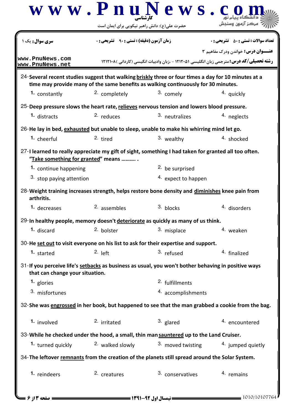|                                                                                                                                            | $\bf w \ w \ w \ . \ P \ n \ u \ N \ e \ w \ s \ . \ c$                            |                            |                                                                                                 |  |  |
|--------------------------------------------------------------------------------------------------------------------------------------------|------------------------------------------------------------------------------------|----------------------------|-------------------------------------------------------------------------------------------------|--|--|
|                                                                                                                                            | حضرت علی(ع): دانش راهبر نیکویی برای ایمان است                                      |                            |                                                                                                 |  |  |
| <b>سری سوال :</b> یک ۱                                                                                                                     | <b>زمان آزمون (دقیقه) : تستی : 90 ٪ تشریحی : 0</b>                                 |                            | <b>تعداد سوالات : تستي : 50 ٪ تشريحي : 0</b>                                                    |  |  |
|                                                                                                                                            |                                                                                    |                            | <b>عنـــوان درس:</b> خواندن ودرک مفاهیم ۳                                                       |  |  |
| www.PnuNews.com<br>www.PnuNews.net                                                                                                         |                                                                                    |                            | <b>رشته تحصیلی/کد درس:</b> مترجمی زبان انگلیسی ۱۲۱۲۰۵۱ - ،زبان وادبیات انگیسی (کاردانی )۱۲۱۲۱۰۸ |  |  |
| 24-Several recent studies suggest that walking briskly three or four times a day for 10 minutes at a                                       | time may provide many of the same benefits as walking continuously for 30 minutes. |                            |                                                                                                 |  |  |
| 1. constantly                                                                                                                              | <sup>2.</sup> completely                                                           | 3. comely                  | <sup>4.</sup> quickly                                                                           |  |  |
| 25-Deep pressure slows the heart rate, relieves nervous tension and lowers blood pressure.                                                 |                                                                                    |                            |                                                                                                 |  |  |
| 1. distracts                                                                                                                               | 2. reduces                                                                         | 3. neutralizes             | 4. neglects                                                                                     |  |  |
| 26-He lay in bed, exhausted but unable to sleep, unable to make his whirring mind let go.                                                  |                                                                                    |                            |                                                                                                 |  |  |
| 1. cheerful                                                                                                                                | 2. tired                                                                           | 3. wealthy                 | 4. shocked                                                                                      |  |  |
| 27-I learned to really appreciate my gift of sight, something I had taken for granted all too often.<br>"Take something for granted" means |                                                                                    |                            |                                                                                                 |  |  |
| 1. continue happening                                                                                                                      |                                                                                    | 2. be surprised            |                                                                                                 |  |  |
| 3. stop paying attention                                                                                                                   |                                                                                    | 4. expect to happen        |                                                                                                 |  |  |
| 28-Weight training increases strength, helps restore bone density and diminishes knee pain from<br>arthritis.                              |                                                                                    |                            |                                                                                                 |  |  |
| 1. decreases                                                                                                                               | <sup>2.</sup> assembles                                                            | 3. blocks                  | 4. disorders                                                                                    |  |  |
| 29-In healthy people, memory doesn't deteriorate as quickly as many of us think.                                                           |                                                                                    |                            |                                                                                                 |  |  |
| 1. discard                                                                                                                                 | 2. bolster                                                                         | 3. misplace                | 4. weaken                                                                                       |  |  |
| 30-He set out to visit everyone on his list to ask for their expertise and support.                                                        |                                                                                    |                            |                                                                                                 |  |  |
| 1. started                                                                                                                                 | $2.$ left                                                                          | 3. refused                 | 4. finalized                                                                                    |  |  |
| 31-If you perceive life's setbacks as business as usual, you won't bother behaving in positive ways<br>that can change your situation.     |                                                                                    |                            |                                                                                                 |  |  |
| 1. glories                                                                                                                                 |                                                                                    | <sup>2.</sup> fulfillments |                                                                                                 |  |  |
| 3. misfortunes                                                                                                                             |                                                                                    | 4. accomplishments         |                                                                                                 |  |  |
| 32-She was engrossed in her book, but happened to see that the man grabbed a cookie from the bag.                                          |                                                                                    |                            |                                                                                                 |  |  |
| 1. involved                                                                                                                                | 2. irritated                                                                       | $3.$ glared                | 4. encountered                                                                                  |  |  |
| 33-While he checked under the hood, a small, thin man sauntered up to the Land Cruiser.                                                    |                                                                                    |                            |                                                                                                 |  |  |
| 1. turned quickly                                                                                                                          | <sup>2.</sup> walked slowly                                                        | 3. moved twisting          | 4. jumped quietly                                                                               |  |  |
| 34-The leftover remnants from the creation of the planets still spread around the Solar System.                                            |                                                                                    |                            |                                                                                                 |  |  |
| 1. reindeers                                                                                                                               | 2. creatures                                                                       | 3. conservatives           | 4. remains                                                                                      |  |  |
|                                                                                                                                            |                                                                                    |                            |                                                                                                 |  |  |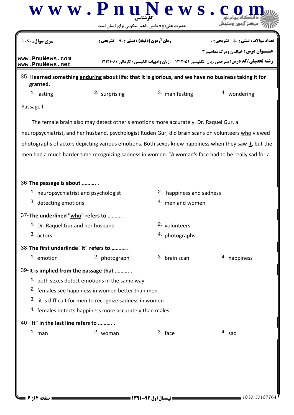

granted.

**1.** lasting **1.** 2. surprising **1.** 3. manifesting **1.** wondering

Passage I

The female brain also may detect other's emotions more accurately. Dr. Raquel Gur, a neuropsychiatrist, and her husband, psychologist Ruden Gur, did brain scans on volunteers who viewed photographs of actors depicting various emotions. Both sexes knew happiness when they saw it, but the men had a much harder time recognizing sadness in women. "A woman's face had to be really sad for a

| 36-The passage is about                                      |               |                          |              |  |  |  |
|--------------------------------------------------------------|---------------|--------------------------|--------------|--|--|--|
| 1. neuropsychiatrist and psychologist                        |               | 2. happiness and sadness |              |  |  |  |
| 3. detecting emotions                                        |               | 4. men and women         |              |  |  |  |
| 37-The underlined "who" refers to                            |               |                          |              |  |  |  |
| 1. Dr. Raquel Gur and her husband                            |               | 2. volunteers            |              |  |  |  |
| 3. actors                                                    |               | 4. photographs           |              |  |  |  |
| 38-The first underlinde "it" refers to                       |               |                          |              |  |  |  |
| 1. emotion                                                   | 2. photograph | 3. brain scan            | 4. happiness |  |  |  |
| 39- It is implied from the passage that                      |               |                          |              |  |  |  |
| 1. both sexes detect emotions in the same way                |               |                          |              |  |  |  |
| <sup>2.</sup> females see happiness in women better than men |               |                          |              |  |  |  |
| 3. it is difficult for men to recognize sadness in women     |               |                          |              |  |  |  |
| 4. females detects happiness more accurately than males      |               |                          |              |  |  |  |
| 40-"It" in the last line refers to                           |               |                          |              |  |  |  |
| $1.$ man                                                     | 2. woman      | $3.$ face                | $4.$ sad     |  |  |  |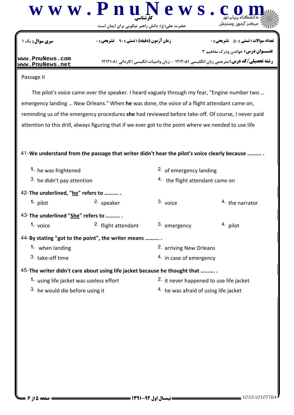

حضرت علي(ع): دانش راهبر نيكويي براي ايمان است

|                                                                                                       | حضرت علی(ع): دانش راهبر نیکویی برای ایمان است    |                                    |                                                                                                                                              |  |  |
|-------------------------------------------------------------------------------------------------------|--------------------------------------------------|------------------------------------|----------------------------------------------------------------------------------------------------------------------------------------------|--|--|
| <b>سری سوال :</b> یک ۱                                                                                | <b>زمان آزمون (دقیقه) : تستی : ۹۰٪ تشریحی: 0</b> |                                    | <b>تعداد سوالات : تستی : 50 ٪ تشریحی : 0</b>                                                                                                 |  |  |
| www.PnuNews.com<br>www.PnuNews.net                                                                    |                                                  |                                    | <b>عنـــوان درس:</b> خواندن ودرک مفاهیم ۳<br><b>رشته تحصیلی/کد درس:</b> مترجمی زبان انگلیسی ۱۲۱۲۰۵۱ - ،زبان وادبیات انگیسی (کاردانی )۱۲۱۲۱۰۸ |  |  |
| Passage II                                                                                            |                                                  |                                    |                                                                                                                                              |  |  |
|                                                                                                       |                                                  |                                    | The pilot's voice came over the speaker. I heard vaguely through my fear, "Engine number two                                                 |  |  |
| emergency landing  New Orleans." When he was done, the voice of a flight attendant came on,           |                                                  |                                    |                                                                                                                                              |  |  |
| reminding us of the emergency procedures she had reviewed before take-off. Of course, I never paid    |                                                  |                                    |                                                                                                                                              |  |  |
| attention to this drill, always figuring that if we ever got to the point where we needed to use life |                                                  |                                    |                                                                                                                                              |  |  |
|                                                                                                       |                                                  |                                    |                                                                                                                                              |  |  |
| 41-We understand from the passage that writer didn't hear the pilot's voice clearly because           |                                                  |                                    |                                                                                                                                              |  |  |
|                                                                                                       |                                                  |                                    |                                                                                                                                              |  |  |
| 1. he was frightened                                                                                  |                                                  | <sup>2.</sup> of emergency landing |                                                                                                                                              |  |  |
| 3. he didn't pay attention                                                                            |                                                  | 4. the flight attendant came on    |                                                                                                                                              |  |  |
| 42-The underlined, "he" refers to                                                                     |                                                  |                                    |                                                                                                                                              |  |  |
| $1.$ pilot                                                                                            | <sup>2.</sup> speaker                            | 3. voice                           | <sup>4</sup> the narrator                                                                                                                    |  |  |
| 43-The underlined "She" refers to                                                                     |                                                  |                                    |                                                                                                                                              |  |  |
| 1. voice                                                                                              | 2. flight attendant                              | 3. emergency                       | 4. pilot                                                                                                                                     |  |  |
| 44-By stating "got to the point", the writer means                                                    |                                                  |                                    |                                                                                                                                              |  |  |
| 1. when landing                                                                                       |                                                  | <sup>2.</sup> arriving New Orleans |                                                                                                                                              |  |  |
| 3. take-off time                                                                                      |                                                  | 4. in case of emergency            |                                                                                                                                              |  |  |
| 45-The writer didn't care about using life jacket because he thought that                             |                                                  |                                    |                                                                                                                                              |  |  |
| 1. using life jacket was useless effort                                                               |                                                  |                                    | 2. it never happened to use life jacket                                                                                                      |  |  |
| 3. he would die before using it                                                                       |                                                  |                                    | 4. he was afraid of using life jacket                                                                                                        |  |  |
|                                                                                                       |                                                  |                                    |                                                                                                                                              |  |  |
|                                                                                                       |                                                  |                                    |                                                                                                                                              |  |  |
|                                                                                                       |                                                  |                                    |                                                                                                                                              |  |  |
|                                                                                                       |                                                  |                                    |                                                                                                                                              |  |  |
|                                                                                                       |                                                  |                                    |                                                                                                                                              |  |  |
|                                                                                                       |                                                  |                                    |                                                                                                                                              |  |  |